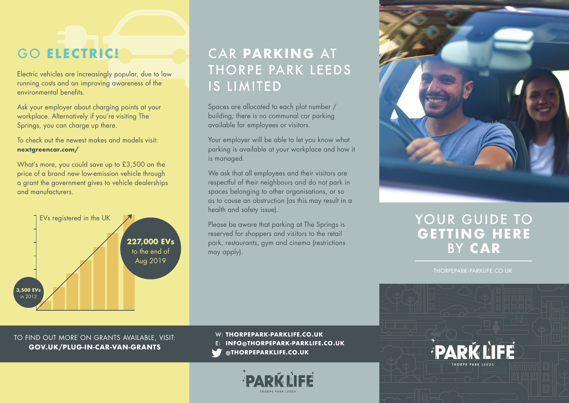Electric vehicles are increasingly popular, due to low running costs and an improving awareness of the environmental benefits.

Ask your employer about charging points at your workplace. Alternatively if you're visiting The Springs, you can charge up there.

To check out the newest makes and models visit: **nextgreencar.com/**

What's more, you could save up to £3,500 on the price of a brand new low-emission vehicle through a grant the government gives to vehicle dealerships and manufacturers.



#### GO **ELECTRIC!** CAR **PARKING** AT THORPE PARK LEEDS IS LIMITED

Spaces are allocated to each plot number / building; there is no communal car parking available for employees or visitors.

Your employer will be able to let you know what parking is available at your workplace and how it is managed.

We ask that all employees and their visitors are respectful of their neighbours and do not park in spaces belonging to other organisations, or so as to cause an obstruction (as this may result in a health and safety issue).

Please be aware that parking at The Springs is reserved for shoppers and visitors to the retail park, restaurants, gym and cinema (restrictions may apply).



#### YOUR GUIDE TO **GETTING HERE** BY **CAR**

THORPEPARK-PARKLIFE.CO.UK

TO FIND OUT MORE ON GRANTS AVAILABLE, VISIT: **GOV.UK/PLUG-IN-CAR-VAN-GRANTS**

W: **THORPEPARK-PARKLIFE.CO.UK** E: **INFO@THORPEPARK-PARKLIFE.CO.UK**

**WEIGHTHORPEPARKLIFE.CO.UK**